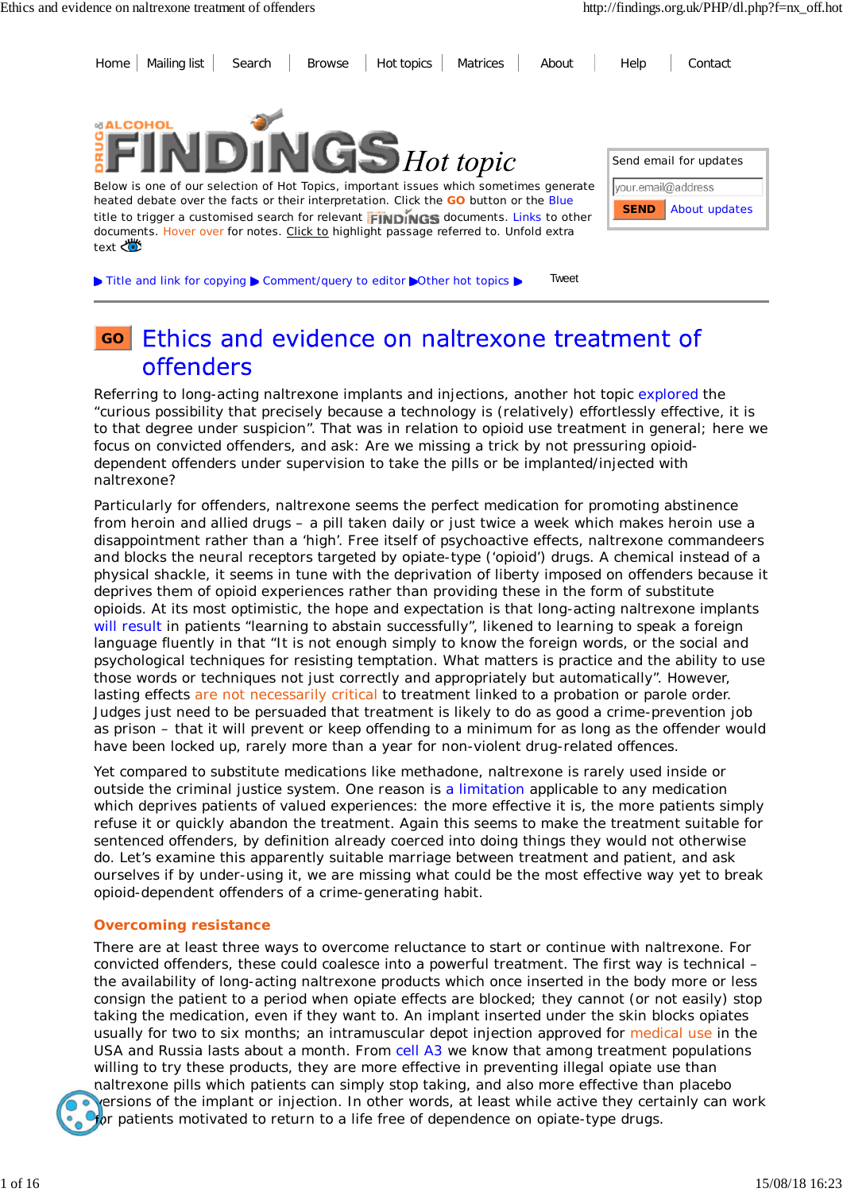

### Ethics and evidence on naltrexone treatment of **GO** offenders

Referring to long-acting naltrexone implants and injections, another hot topic explored the "curious possibility that precisely because a technology is (relatively) effortlessly effective, it is to that degree under suspicion". That was in relation to opioid use treatment in general; here we focus on convicted offenders, and ask: Are we missing a trick by not pressuring opioiddependent offenders under supervision to take the pills or be implanted/injected with naltrexone?

Particularly for offenders, naltrexone seems the perfect medication for promoting abstinence from heroin and allied drugs – a pill taken daily or just twice a week which makes heroin use a disappointment rather than a 'high'. Free itself of psychoactive effects, naltrexone commandeers and blocks the neural receptors targeted by opiate-type ('opioid') drugs. A chemical instead of a physical shackle, it seems in tune with the deprivation of liberty imposed on offenders because it deprives them of opioid experiences rather than providing these in the form of substitute opioids. At its most optimistic, the hope and expectation is that long-acting naltrexone implants will result in patients "learning to abstain successfully", likened to learning to speak a foreign language fluently in that "It is not enough simply to know the foreign words, or the social and psychological techniques for resisting temptation. What matters is practice and the ability to use those words or techniques not just correctly and appropriately but automatically". However, lasting effects are not necessarily critical to treatment linked to a probation or parole order. Judges just need to be persuaded that treatment is likely to do as good a crime-prevention job as prison – that it will prevent or keep offending to a minimum for as long as the offender would have been locked up, rarely more than a year for non-violent drug-related offences.

Yet compared to substitute medications like methadone, naltrexone is rarely used inside or outside the criminal justice system. One reason is a limitation applicable to any medication which deprives patients of valued experiences: the more effective it is, the more patients simply refuse it or quickly abandon the treatment. Again this seems to make the treatment suitable for sentenced offenders, by definition already coerced into doing things they would not otherwise do. Let's examine this apparently suitable marriage between treatment and patient, and ask ourselves if by under-using it, we are missing what could be the most effective way yet to break opioid-dependent offenders of a crime-generating habit.

### **Overcoming resistance**

There are at least three ways to overcome reluctance to start or continue with naltrexone. For convicted offenders, these could coalesce into a powerful treatment. The first way is technical – the availability of long-acting naltrexone products which once inserted in the body more or less consign the patient to a period when opiate effects are blocked; they cannot (or not easily) stop taking the medication, even if they want to. An implant inserted under the skin blocks opiates usually for two to six months; an intramuscular depot injection approved for medical use in the USA and Russia lasts about a month. From cell A3 we know that among treatment populations willing to try these products, they are more effective in preventing illegal opiate use than naltrexone pills which patients can simply stop taking, and also more effective than placebo versions of the implant or injection. In other words, at least while active they certainly can work for patients motivated to return to a life free of dependence on opiate-type drugs.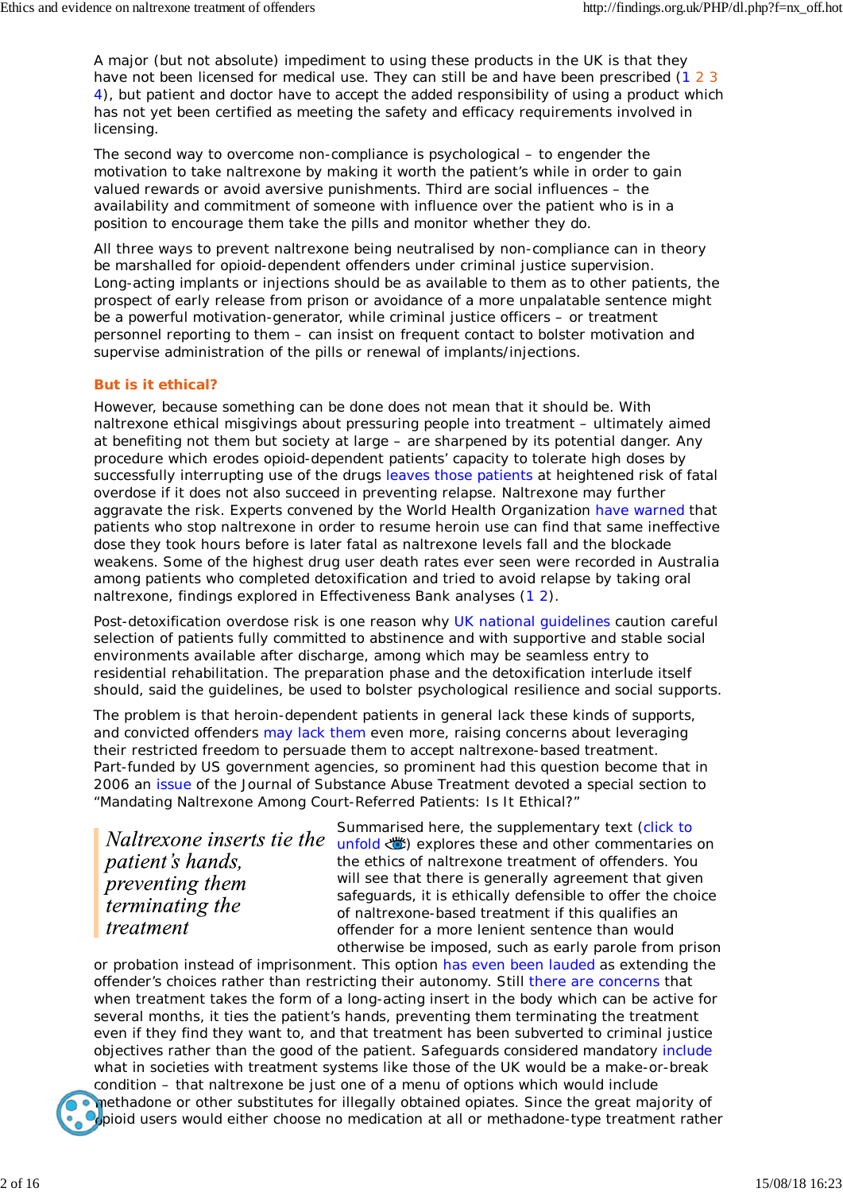A major (but not absolute) impediment to using these products in the UK is that they have not been licensed for medical use. They can still be and have been prescribed (1 2 3 4), but patient and doctor have to accept the added responsibility of using a product which has not yet been certified as meeting the safety and efficacy requirements involved in licensing.

The second way to overcome non-compliance is psychological – to engender the motivation to take naltrexone by making it worth the patient's while in order to gain valued rewards or avoid aversive punishments. Third are social influences – the availability and commitment of someone with influence over the patient who is in a position to encourage them take the pills and monitor whether they do.

All three ways to prevent naltrexone being neutralised by non-compliance can in theory be marshalled for opioid-dependent offenders under criminal justice supervision. Long-acting implants or injections should be as available to them as to other patients, the prospect of early release from prison or avoidance of a more unpalatable sentence might be a powerful motivation-generator, while criminal justice officers – or treatment personnel reporting to them – can insist on frequent contact to bolster motivation and supervise administration of the pills or renewal of implants/injections.

### **But is it ethical?**

However, because something can be done does not mean that it should be. With naltrexone ethical misgivings about pressuring people into treatment – ultimately aimed at benefiting not them but society at large – are sharpened by its potential danger. Any procedure which erodes opioid-dependent patients' capacity to tolerate high doses by successfully interrupting use of the drugs leaves those patients at heightened risk of fatal overdose if it does not also succeed in preventing relapse. Naltrexone may further aggravate the risk. Experts convened by the World Health Organization have warned that patients who stop naltrexone in order to resume heroin use can find that same ineffective dose they took hours before is later fatal as naltrexone levels fall and the blockade weakens. Some of the highest drug user death rates ever seen were recorded in Australia among patients who completed detoxification and tried to avoid relapse by taking oral naltrexone, findings explored in Effectiveness Bank analyses (1 2).

Post-detoxification overdose risk is one reason why UK national guidelines caution careful selection of patients fully committed to abstinence and with supportive and stable social environments available after discharge, among which may be seamless entry to residential rehabilitation. The preparation phase and the detoxification interlude itself should, said the guidelines, be used to bolster psychological resilience and social supports.

The problem is that heroin-dependent patients in general lack these kinds of supports, and convicted offenders may lack them even more, raising concerns about leveraging their restricted freedom to persuade them to accept naltrexone-based treatment. Part-funded by US government agencies, so prominent had this question become that in 2006 an issue of the *Journal of Substance Abuse Treatment* devoted a special section to "Mandating Naltrexone Among Court-Referred Patients: Is It Ethical?"

patient's hands. *preventing them* terminating the treatment

Summarised here, the supplementary text (click to Naltrexone inserts tie the unfold  $\bullet$  explores these and other commentaries on the ethics of naltrexone treatment of offenders. You will see that there is generally agreement that given safeguards, it is ethically defensible to offer the choice of naltrexone-based treatment if this qualifies an offender for a more lenient sentence than would otherwise be imposed, such as early parole from prison

or probation instead of imprisonment. This option has even been lauded as extending the offender's choices rather than restricting their autonomy. Still there are concerns that when treatment takes the form of a long-acting insert in the body which can be active for several months, it ties the patient's hands, preventing them terminating the treatment even if they find they want to, and that treatment has been subverted to criminal justice objectives rather than the good of the patient. Safeguards considered mandatory include what in societies with treatment systems like those of the UK would be a make-or-break condition – that naltrexone be just one of a menu of options which would include



methadone or other substitutes for illegally obtained opiates. Since the great majority of  $\Theta$ pioid users would either choose no medication at all or methadone-type treatment rather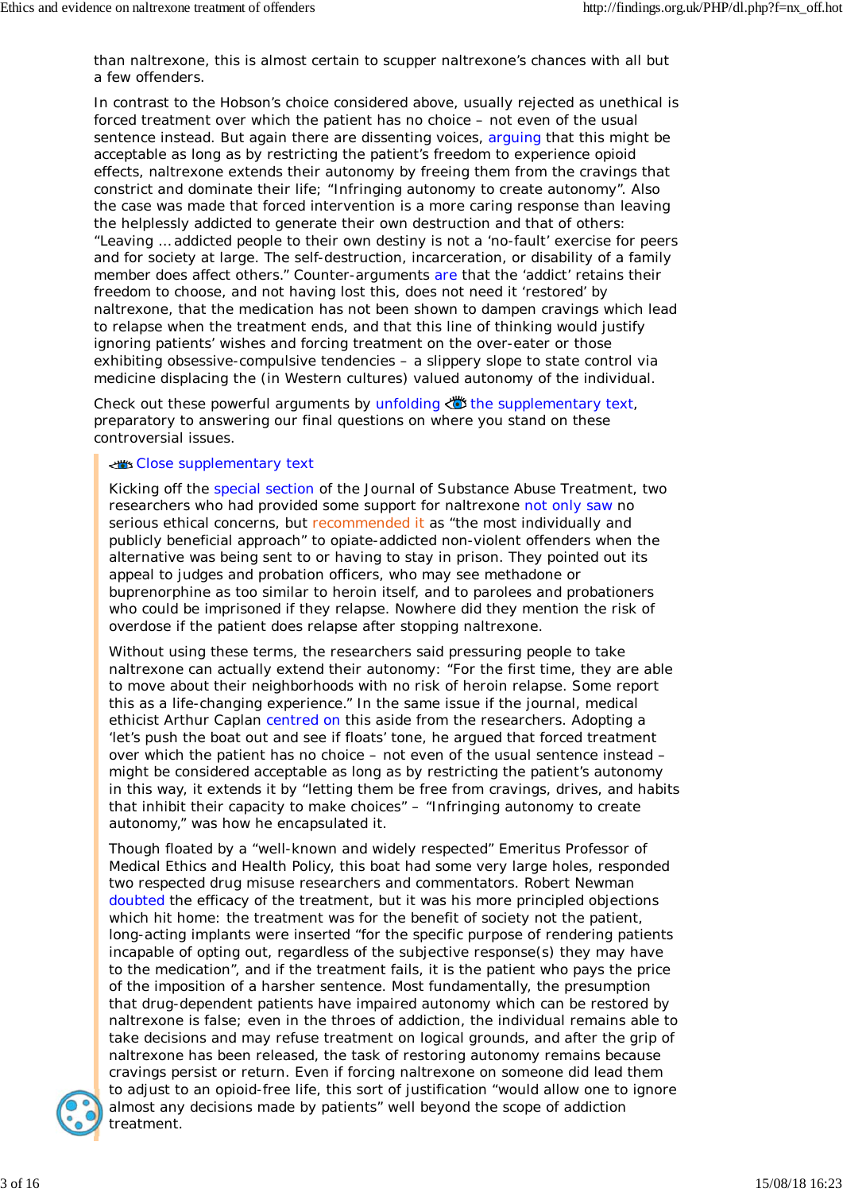than naltrexone, this is almost certain to scupper naltrexone's chances with all but a few offenders.

In contrast to the Hobson's choice considered above, usually rejected as unethical is forced treatment over which the patient has no choice – not even of the usual sentence instead. But again there are dissenting voices, arguing that this might be acceptable as long as by restricting the patient's freedom to experience opioid effects, naltrexone extends their autonomy by freeing them from the cravings that constrict and dominate their life; "Infringing autonomy to create autonomy". Also the case was made that forced intervention is a more caring response than leaving the helplessly addicted to generate their own destruction and that of others: "Leaving … addicted people to their own destiny is not a 'no-fault' exercise for peers and for society at large. The self-destruction, incarceration, or disability of a family member does affect others." Counter-arguments are that the 'addict' retains their freedom to choose, and not having lost this, does not need it 'restored' by naltrexone, that the medication has not been shown to dampen cravings which lead to relapse when the treatment ends, and that this line of thinking would justify ignoring patients' wishes and forcing treatment on the over-eater or those exhibiting obsessive-compulsive tendencies – a slippery slope to state control via medicine displacing the (in Western cultures) valued autonomy of the individual.

Check out these powerful arguments by unfolding  $\bullet$  the supplementary text, preparatory to answering our final questions on where you stand on these controversial issues.

#### Close supplementary text

Kicking off the special section of the *Journal of Substance Abuse Treatment*, two researchers who had provided some support for naltrexone not only saw no serious ethical concerns, but recommended it as "the most individually and publicly beneficial approach" to opiate-addicted non-violent offenders when the alternative was being sent to or having to stay in prison. They pointed out its appeal to judges and probation officers, who may see methadone or buprenorphine as too similar to heroin itself, and to parolees and probationers who could be imprisoned if they relapse. Nowhere did they mention the risk of overdose if the patient does relapse after stopping naltrexone.

Without using these terms, the researchers said pressuring people to take naltrexone can actually extend their autonomy: "For the first time, they are able to move about their neighborhoods with no risk of heroin relapse. Some report this as a life-changing experience." In the same issue if the journal, medical ethicist Arthur Caplan centred on this aside from the researchers. Adopting a 'let's push the boat out and see if floats' tone, he argued that forced treatment over which the patient has no choice – not even of the usual sentence instead – might be considered acceptable as long as by restricting the patient's autonomy in this way, it extends it by "letting them be free from cravings, drives, and habits that inhibit their capacity to make choices" – "Infringing autonomy to create autonomy," was how he encapsulated it.

Though floated by a "well-known and widely respected" Emeritus Professor of Medical Ethics and Health Policy, this boat had some very large holes, responded two respected drug misuse researchers and commentators. Robert Newman doubted the efficacy of the treatment, but it was his more principled objections which hit home: the treatment was for the benefit of society not the patient, long-acting implants were inserted "for the specific purpose of rendering patients incapable of opting out, regardless of the subjective response(s) they may have to the medication", and if the treatment fails, it is the patient who pays the price of the imposition of a harsher sentence. Most fundamentally, the presumption that drug-dependent patients have impaired autonomy which can be restored by naltrexone is false; even in the throes of addiction, the individual remains able to take decisions and may refuse treatment on logical grounds, and after the grip of naltrexone has been released, the task of restoring autonomy remains because cravings persist or return. Even if forcing naltrexone on someone did lead them to adjust to an opioid-free life, this sort of justification "would allow one to ignore almost any decisions made by patients" well beyond the scope of addiction treatment.

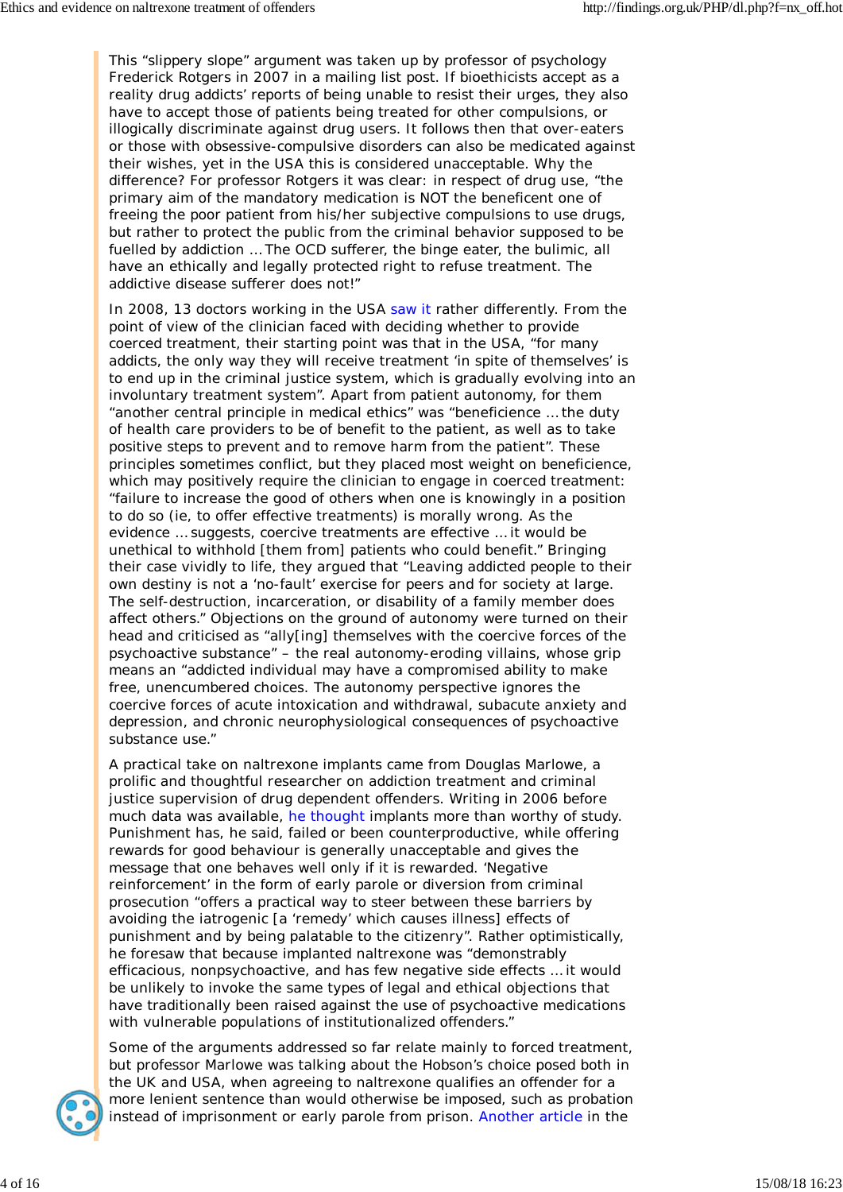This "slippery slope" argument was taken up by professor of psychology Frederick Rotgers in 2007 in a mailing list post. If bioethicists accept as a reality drug addicts' reports of being unable to resist their urges, they also have to accept those of patients being treated for other compulsions, or illogically discriminate against drug users. It follows then that over-eaters or those with obsessive-compulsive disorders can also be medicated against their wishes, yet in the USA this is considered unacceptable. Why the difference? For professor Rotgers it was clear: in respect of drug use, "the primary aim of the mandatory medication is NOT the beneficent one of freeing the poor patient from his/her subjective compulsions to use drugs, but rather to protect the public from the criminal behavior supposed to be fuelled by addiction … The OCD sufferer, the binge eater, the bulimic, all have an ethically and legally protected right to refuse treatment. The addictive disease sufferer does not!"

In 2008, 13 doctors working in the USA saw it rather differently. From the point of view of the clinician faced with deciding whether to provide coerced treatment, their starting point was that in the USA, "for many addicts, the only way they will receive treatment 'in spite of themselves' is to end up in the criminal justice system, which is gradually evolving into an involuntary treatment system". Apart from patient autonomy, for them "another central principle in medical ethics" was "beneficience … the duty of health care providers to be of benefit to the patient, as well as to take positive steps to prevent and to remove harm from the patient". These principles sometimes conflict, but they placed most weight on beneficience, which may positively *require* the clinician to engage in coerced treatment: "failure to increase the good of others when one is knowingly in a position to do so (ie, to offer effective treatments) is morally wrong. As the evidence … suggests, coercive treatments are effective … it would be unethical to withhold [them from] patients who could benefit." Bringing their case vividly to life, they argued that "Leaving addicted people to their own destiny is not a 'no-fault' exercise for peers and for society at large. The self-destruction, incarceration, or disability of a family member does affect others." Objections on the ground of autonomy were turned on their head and criticised as "ally[ing] themselves with the coercive forces of the psychoactive substance" – the real autonomy-eroding villains, whose grip means an "addicted individual may have a compromised ability to make free, unencumbered choices. The autonomy perspective ignores the coercive forces of acute intoxication and withdrawal, subacute anxiety and depression, and chronic neurophysiological consequences of psychoactive substance use."

A practical take on naltrexone implants came from Douglas Marlowe, a prolific and thoughtful researcher on addiction treatment and criminal justice supervision of drug dependent offenders. Writing in 2006 before much data was available, he thought implants more than worthy of study. Punishment has, he said, failed or been counterproductive, while offering rewards for good behaviour is generally unacceptable and gives the message that one behaves well only if it is rewarded. 'Negative reinforcement' in the form of early parole or diversion from criminal prosecution "offers a practical way to steer between these barriers by avoiding the iatrogenic [a 'remedy' which causes illness] effects of punishment and by being palatable to the citizenry". Rather optimistically, he foresaw that because implanted naltrexone was "demonstrably efficacious, nonpsychoactive, and has few negative side effects … it would be unlikely to invoke the same types of legal and ethical objections that have traditionally been raised against the use of psychoactive medications with vulnerable populations of institutionalized offenders."



Some of the arguments addressed so far relate mainly to forced treatment, but professor Marlowe was talking about the Hobson's choice posed both in the UK and USA, when agreeing to naltrexone qualifies an offender for a more lenient sentence than would otherwise be imposed, such as probation instead of imprisonment or early parole from prison. Another article in the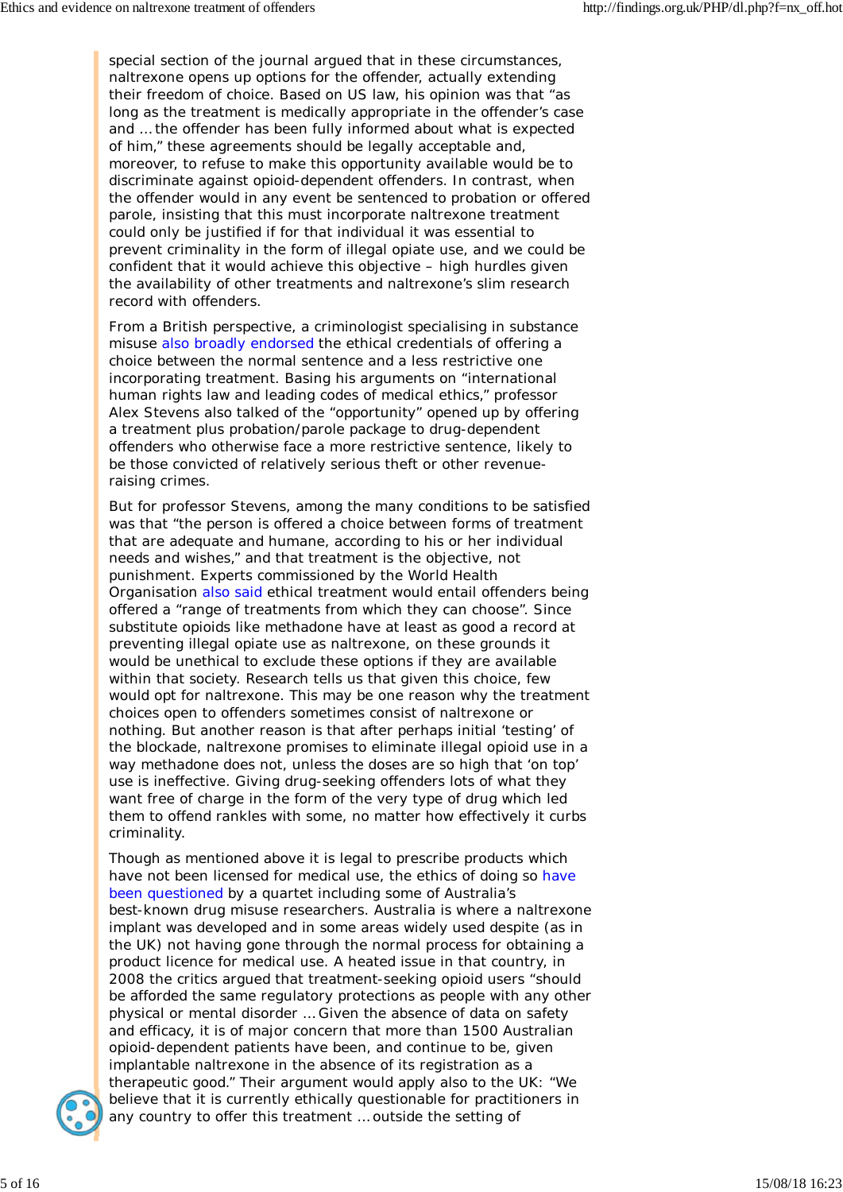special section of the journal argued that in these circumstances, naltrexone opens up options for the offender, actually extending their freedom of choice. Based on US law, his opinion was that "as long as the treatment is medically appropriate in the offender's case and … the offender has been fully informed about what is expected of him," these agreements should be legally acceptable and, moreover, to refuse to make this opportunity available would be to discriminate against opioid-dependent offenders. In contrast, when the offender would in any event be sentenced to probation or offered parole, insisting that this must incorporate naltrexone treatment could only be justified if for that individual it was essential to prevent criminality in the form of illegal opiate use, and we could be confident that it would achieve this objective – high hurdles given the availability of other treatments and naltrexone's slim research record with offenders.

From a British perspective, a criminologist specialising in substance misuse also broadly endorsed the ethical credentials of offering a choice between the normal sentence and a less restrictive one incorporating treatment. Basing his arguments on "international human rights law and leading codes of medical ethics," professor Alex Stevens also talked of the "opportunity" opened up by offering a treatment plus probation/parole package to drug-dependent offenders who otherwise face a more restrictive sentence, likely to be those convicted of relatively serious theft or other revenueraising crimes.

But for professor Stevens, among the many conditions to be satisfied was that "the person is offered a choice between forms of treatment that are adequate and humane, according to his or her individual needs and wishes," and that treatment is the objective, not punishment. Experts commissioned by the World Health Organisation also said ethical treatment would entail offenders being offered a "range of treatments from which they can choose". Since substitute opioids like methadone have at least as good a record at preventing illegal opiate use as naltrexone, on these grounds it would be unethical to exclude these options if they are available within that society. Research tells us that given this choice, few would opt for naltrexone. This may be one reason why the treatment choices open to offenders sometimes consist of naltrexone or nothing. But another reason is that after perhaps initial 'testing' of the blockade, naltrexone promises to eliminate illegal opioid use in a way methadone does not, unless the doses are so high that 'on top' use is ineffective. Giving drug-seeking offenders lots of what they want free of charge in the form of the very type of drug which led them to offend rankles with some, no matter how effectively it curbs criminality.

Though as mentioned above it is legal to prescribe products which have not been licensed for medical use, the ethics of doing so have been questioned by a quartet including some of Australia's best-known drug misuse researchers. Australia is where a naltrexone implant was developed and in some areas widely used despite (as in the UK) not having gone through the normal process for obtaining a product licence for medical use. A heated issue in that country, in 2008 the critics argued that treatment-seeking opioid users "should be afforded the same regulatory protections as people with any other physical or mental disorder … Given the absence of data on safety and efficacy, it is of major concern that more than 1500 Australian opioid-dependent patients have been, and continue to be, given implantable naltrexone in the absence of its registration as a therapeutic good." Their argument would apply also to the UK: "We believe that it is currently ethically questionable for practitioners in any country to offer this treatment … outside the setting of

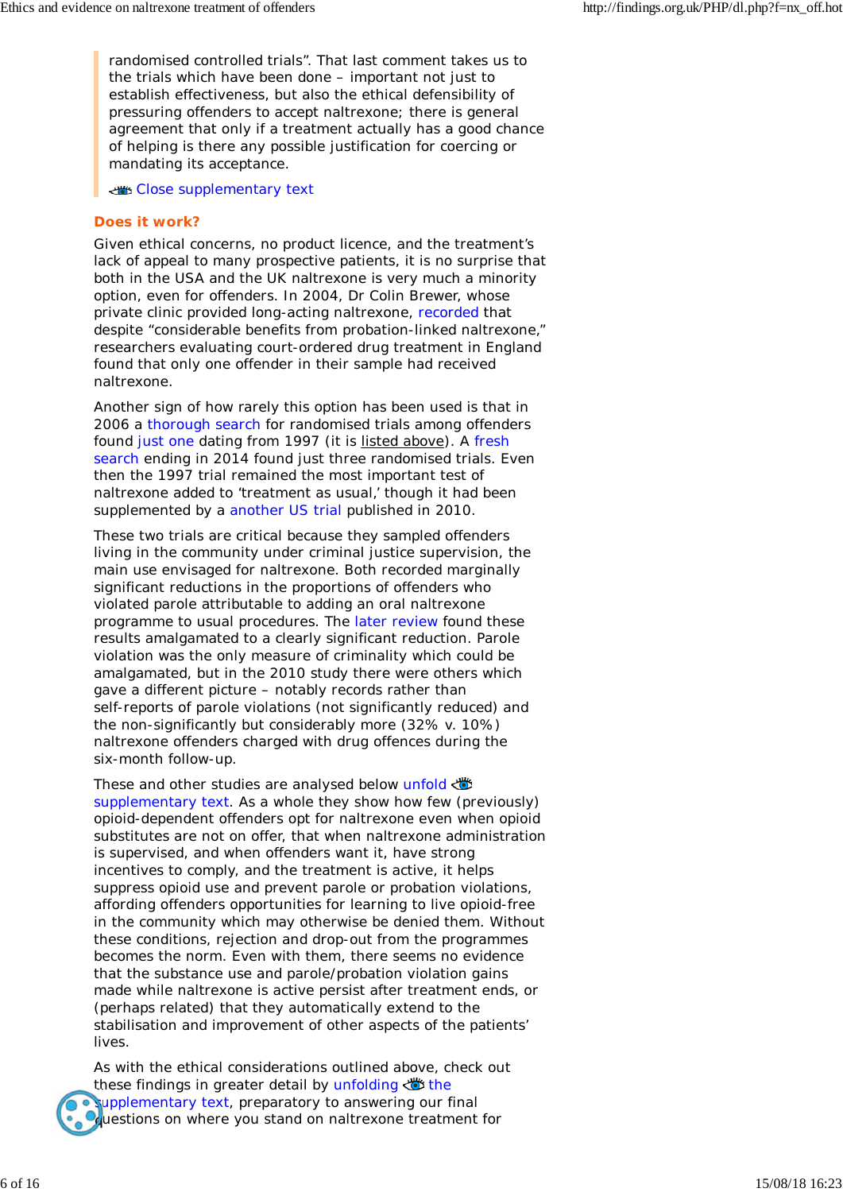randomised controlled trials". That last comment takes us to the trials which have been done – important not just to establish effectiveness, but also the ethical defensibility of pressuring offenders to accept naltrexone; there is general agreement that only if a treatment actually has a good chance of helping is there any possible justification for coercing or mandating its acceptance.

Close supplementary text

### **Does it work?**

Given ethical concerns, no product licence, and the treatment's lack of appeal to many prospective patients, it is no surprise that both in the USA and the UK naltrexone is very much a minority option, even for offenders. In 2004, Dr Colin Brewer, whose private clinic provided long-acting naltrexone, recorded that despite "considerable benefits from probation-linked naltrexone," researchers evaluating court-ordered drug treatment in England found that only one offender in their sample had received naltrexone.

Another sign of how rarely this option has been used is that in 2006 a thorough search for randomised trials among offenders found just one dating from 1997 (it is listed above). A fresh search ending in 2014 found just three randomised trials. Even then the 1997 trial remained the most important test of naltrexone added to 'treatment as usual,' though it had been supplemented by a another US trial published in 2010.

These two trials are critical because they sampled offenders living in the community under criminal justice supervision, the main use envisaged for naltrexone. Both recorded marginally significant reductions in the proportions of offenders who violated parole attributable to adding an oral naltrexone programme to usual procedures. The later review found these results amalgamated to a clearly significant reduction. Parole violation was the only measure of criminality which could be amalgamated, but in the 2010 study there were others which gave a different picture – notably records rather than self-reports of parole violations (not significantly reduced) and the non-significantly but considerably more (32% v. 10%) naltrexone offenders charged with drug offences during the six-month follow-up.

These and other studies are analysed below unfold supplementary text. As a whole they show how few (previously) opioid-dependent offenders opt for naltrexone even when opioid substitutes are not on offer, that when naltrexone administration is supervised, and when offenders want it, have strong incentives to comply, and the treatment is active, it helps suppress opioid use and prevent parole or probation violations, affording offenders opportunities for learning to live opioid-free in the community which may otherwise be denied them. Without these conditions, rejection and drop-out from the programmes becomes the norm. Even with them, there seems no evidence that the substance use and parole/probation violation gains made while naltrexone is active persist after treatment ends, or (perhaps related) that they automatically extend to the stabilisation and improvement of other aspects of the patients' lives.

As with the ethical considerations outlined above, check out these findings in greater detail by unfolding  $\ddot{\bullet}$  the supplementary text, preparatory to answering our final questions on where you stand on naltrexone treatment for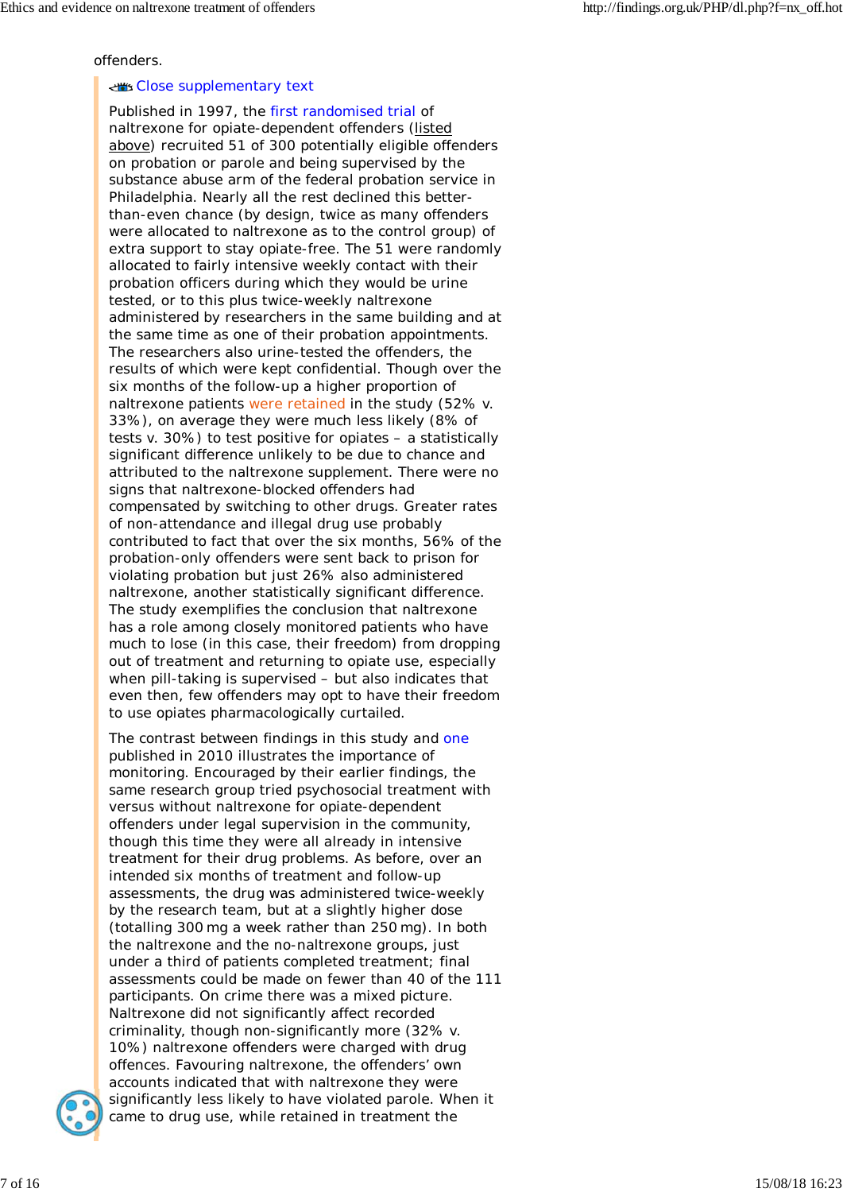offenders.

#### Close supplementary text

Published in 1997, the first randomised trial of naltrexone for opiate-dependent offenders (listed above) recruited 51 of 300 potentially eligible offenders on probation or parole and being supervised by the substance abuse arm of the federal probation service in Philadelphia. Nearly all the rest declined this betterthan-even chance (by design, twice as many offenders were allocated to naltrexone as to the control group) of extra support to stay opiate-free. The 51 were randomly allocated to fairly intensive weekly contact with their probation officers during which they would be urine tested, or to this plus twice-weekly naltrexone administered by researchers in the same building and at the same time as one of their probation appointments. The researchers also urine-tested the offenders, the results of which were kept confidential. Though over the six months of the follow-up a higher proportion of naltrexone patients were retained in the study (52% v. 33%), on average they were much less likely (8% of tests v. 30%) to test positive for opiates – a statistically significant difference unlikely to be due to chance and attributed to the naltrexone supplement. There were no signs that naltrexone-blocked offenders had compensated by switching to other drugs. Greater rates of non-attendance and illegal drug use probably contributed to fact that over the six months, 56% of the probation-only offenders were sent back to prison for violating probation but just 26% also administered naltrexone, another statistically significant difference. The study exemplifies the conclusion that naltrexone has a role among closely monitored patients who have much to lose (in this case, their freedom) from dropping out of treatment and returning to opiate use, especially when pill-taking is supervised – but also indicates that even then, few offenders may opt to have their freedom to use opiates pharmacologically curtailed.

The contrast between findings in this study and one published in 2010 illustrates the importance of monitoring. Encouraged by their earlier findings, the same research group tried psychosocial treatment with versus without naltrexone for opiate-dependent offenders under legal supervision in the community, though this time they were all already in intensive treatment for their drug problems. As before, over an intended six months of treatment and follow-up assessments, the drug was administered twice-weekly by the research team, but at a slightly higher dose (totalling 300 mg a week rather than 250 mg). In both the naltrexone and the no-naltrexone groups, just under a third of patients completed treatment; final assessments could be made on fewer than 40 of the 111 participants. On crime there was a mixed picture. Naltrexone did not significantly affect recorded criminality, though non-significantly more (32% v. 10%) naltrexone offenders were charged with drug offences. Favouring naltrexone, the offenders' own accounts indicated that with naltrexone they were significantly less likely to have violated parole. When it came to drug use, while retained in treatment the

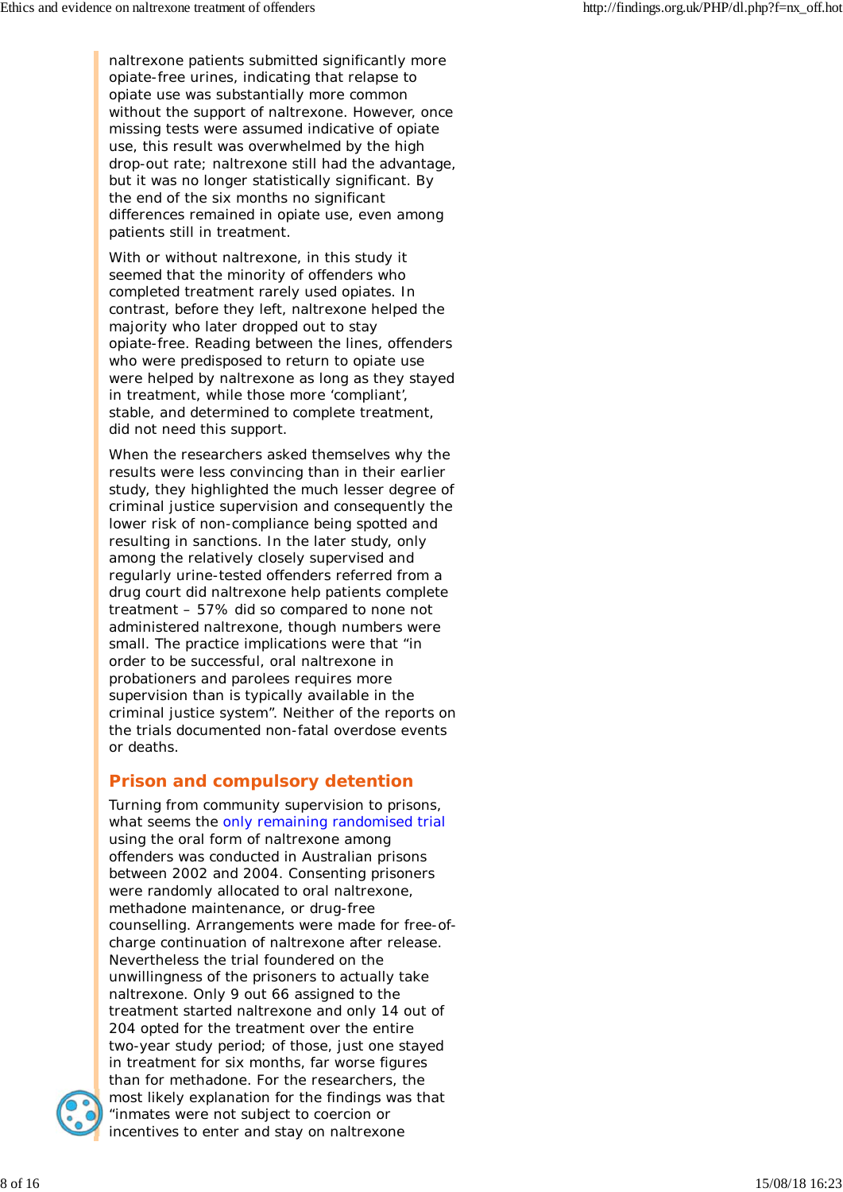naltrexone patients submitted significantly more opiate-free urines, indicating that relapse to opiate use was substantially more common without the support of naltrexone. However, once missing tests were assumed indicative of opiate use, this result was overwhelmed by the high drop-out rate; naltrexone still had the advantage, but it was no longer statistically significant. By the end of the six months no significant differences remained in opiate use, even among patients still in treatment.

With or without naltrexone, in this study it seemed that the minority of offenders who completed treatment rarely used opiates. In contrast, before they left, naltrexone helped the majority who later dropped out to stay opiate-free. Reading between the lines, offenders who were predisposed to return to opiate use were helped by naltrexone as long as they stayed in treatment, while those more 'compliant', stable, and determined to complete treatment, did not need this support.

When the researchers asked themselves why the results were less convincing than in their earlier study, they highlighted the much lesser degree of criminal justice supervision and consequently the lower risk of non-compliance being spotted and resulting in sanctions. In the later study, only among the relatively closely supervised and regularly urine-tested offenders referred from a drug court did naltrexone help patients complete treatment – 57% did so compared to none not administered naltrexone, though numbers were small. The practice implications were that "in order to be successful, oral naltrexone in probationers and parolees requires more supervision than is typically available in the criminal justice system". Neither of the reports on the trials documented non-fatal overdose events or deaths.

# **Prison and compulsory detention**

Turning from community supervision to prisons, what seems the only remaining randomised trial using the oral form of naltrexone among offenders was conducted in Australian prisons between 2002 and 2004. Consenting prisoners were randomly allocated to oral naltrexone, methadone maintenance, or drug-free counselling. Arrangements were made for free-ofcharge continuation of naltrexone after release. Nevertheless the trial foundered on the unwillingness of the prisoners to actually take naltrexone. Only 9 out 66 assigned to the treatment started naltrexone and only 14 out of 204 opted for the treatment over the entire two-year study period; of those, just one stayed in treatment for six months, far worse figures than for methadone. For the researchers, the most likely explanation for the findings was that "inmates were not subject to coercion or incentives to enter and stay on naltrexone

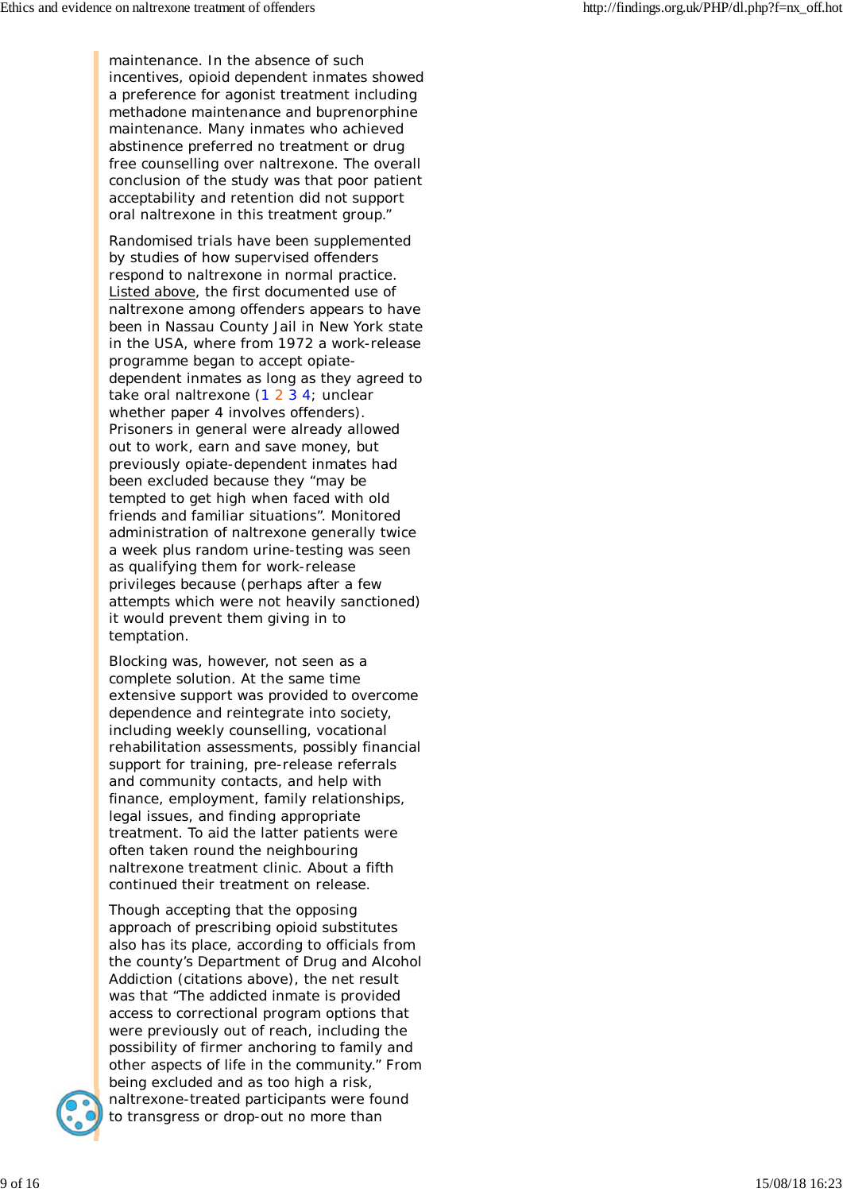maintenance. In the absence of such incentives, opioid dependent inmates showed a preference for agonist treatment including methadone maintenance and buprenorphine maintenance. Many inmates who achieved abstinence preferred no treatment or drug free counselling over naltrexone. The overall conclusion of the study was that poor patient acceptability and retention did not support oral naltrexone in this treatment group."

Randomised trials have been supplemented by studies of how supervised offenders respond to naltrexone in normal practice. Listed above, the first documented use of naltrexone among offenders appears to have been in Nassau County Jail in New York state in the USA, where from 1972 a work-release programme began to accept opiatedependent inmates as long as they agreed to take oral naltrexone (1 2 3 4; unclear whether paper 4 involves offenders). Prisoners in general were already allowed out to work, earn and save money, but previously opiate-dependent inmates had been excluded because they "may be tempted to get high when faced with old friends and familiar situations". Monitored administration of naltrexone generally twice a week plus random urine-testing was seen as qualifying them for work-release privileges because (perhaps after a few attempts which were not heavily sanctioned) it would prevent them giving in to temptation.

Blocking was, however, not seen as a complete solution. At the same time extensive support was provided to overcome dependence and reintegrate into society, including weekly counselling, vocational rehabilitation assessments, possibly financial support for training, pre-release referrals and community contacts, and help with finance, employment, family relationships, legal issues, and finding appropriate treatment. To aid the latter patients were often taken round the neighbouring naltrexone treatment clinic. About a fifth continued their treatment on release.

Though accepting that the opposing approach of prescribing opioid substitutes also has its place, according to officials from the county's Department of Drug and Alcohol Addiction (citations above), the net result was that "The addicted inmate is provided access to correctional program options that were previously out of reach, including the possibility of firmer anchoring to family and other aspects of life in the community." From being excluded and as too high a risk, naltrexone-treated participants were found to transgress or drop-out no more than

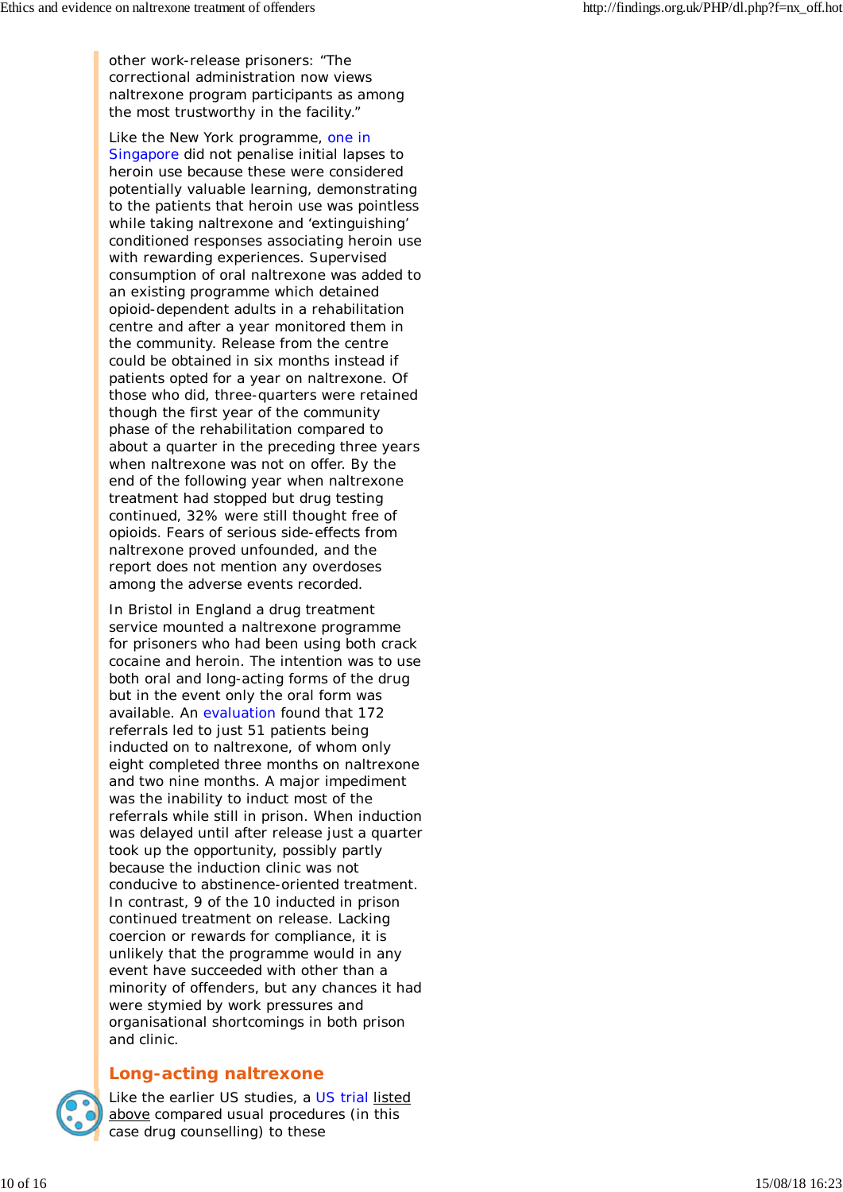other work-release prisoners: "The correctional administration now views naltrexone program participants as among the most trustworthy in the facility."

Like the New York programme, one in Singapore did not penalise initial lapses to heroin use because these were considered potentially valuable learning, demonstrating to the patients that heroin use was pointless while taking naltrexone and 'extinguishing' conditioned responses associating heroin use with rewarding experiences. Supervised consumption of oral naltrexone was added to an existing programme which detained opioid-dependent adults in a rehabilitation centre and after a year monitored them in the community. Release from the centre could be obtained in six months instead if patients opted for a year on naltrexone. Of those who did, three-quarters were retained though the first year of the community phase of the rehabilitation compared to about a quarter in the preceding three years when naltrexone was not on offer. By the end of the following year when naltrexone treatment had stopped but drug testing continued, 32% were still thought free of opioids. Fears of serious side-effects from naltrexone proved unfounded, and the report does not mention any overdoses among the adverse events recorded.

In Bristol in England a drug treatment service mounted a naltrexone programme for prisoners who had been using both crack cocaine and heroin. The intention was to use both oral and long-acting forms of the drug but in the event only the oral form was available. An evaluation found that 172 referrals led to just 51 patients being inducted on to naltrexone, of whom only eight completed three months on naltrexone and two nine months. A major impediment was the inability to induct most of the referrals while still in prison. When induction was delayed until after release just a quarter took up the opportunity, possibly partly because the induction clinic was not conducive to abstinence-oriented treatment. In contrast, 9 of the 10 inducted in prison continued treatment on release. Lacking coercion or rewards for compliance, it is unlikely that the programme would in any event have succeeded with other than a minority of offenders, but any chances it had were stymied by work pressures and organisational shortcomings in both prison and clinic.

# **Long-acting naltrexone**



Like the earlier US studies, a US trial listed above compared usual procedures (in this case drug counselling) to these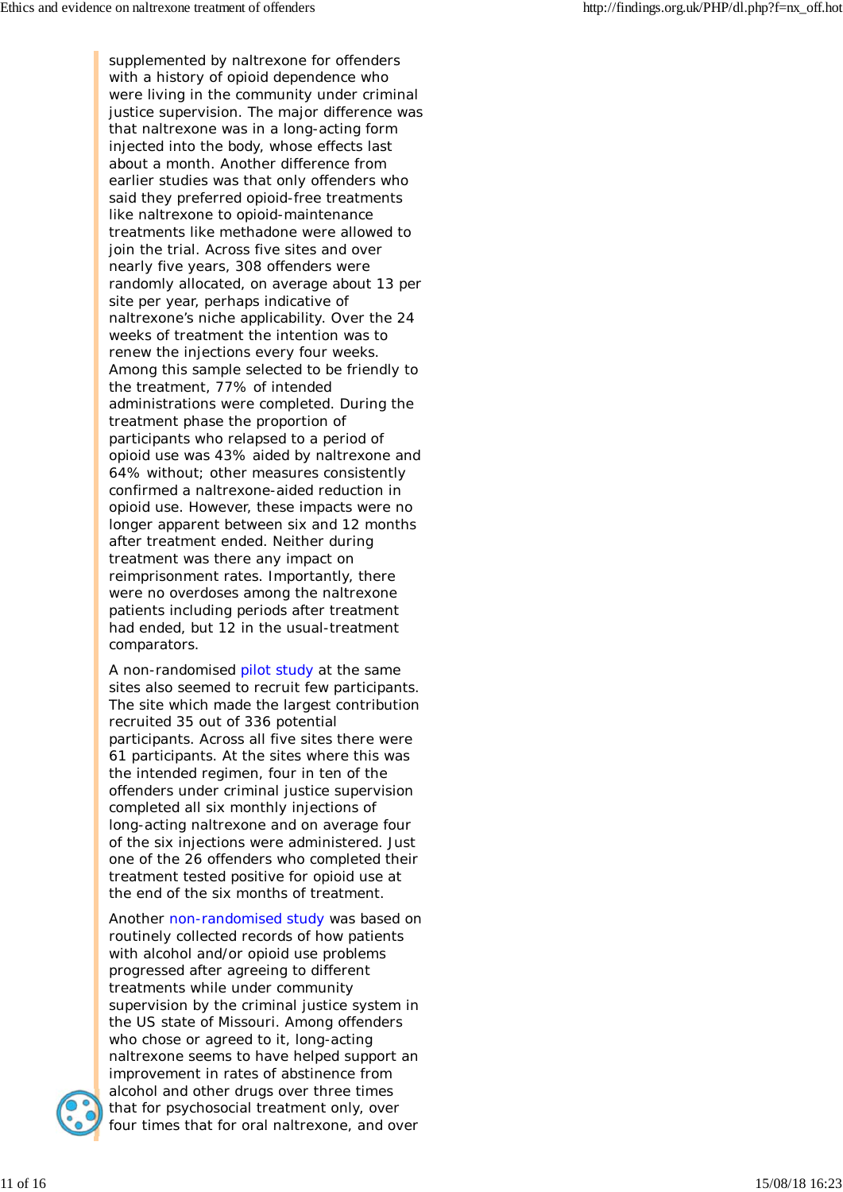supplemented by naltrexone for offenders with a history of opioid dependence who were living in the community under criminal justice supervision. The major difference was that naltrexone was in a long-acting form injected into the body, whose effects last about a month. Another difference from earlier studies was that only offenders who said they preferred opioid-free treatments like naltrexone to opioid-maintenance treatments like methadone were allowed to join the trial. Across five sites and over nearly five years, 308 offenders were randomly allocated, on average about 13 per site per year, perhaps indicative of naltrexone's niche applicability. Over the 24 weeks of treatment the intention was to renew the injections every four weeks. Among this sample selected to be friendly to the treatment, 77% of intended administrations were completed. During the treatment phase the proportion of participants who relapsed to a period of opioid use was 43% aided by naltrexone and 64% without; other measures consistently confirmed a naltrexone-aided reduction in opioid use. However, these impacts were no longer apparent between six and 12 months after treatment ended. Neither during treatment was there any impact on reimprisonment rates. Importantly, there were no overdoses among the naltrexone patients including periods after treatment had ended, but 12 in the usual-treatment comparators.

A non-randomised pilot study at the same sites also seemed to recruit few participants. The site which made the largest contribution recruited 35 out of 336 potential participants. Across all five sites there were 61 participants. At the sites where this was the intended regimen, four in ten of the offenders under criminal justice supervision completed all six monthly injections of long-acting naltrexone and on average four of the six injections were administered. Just one of the 26 offenders who completed their treatment tested positive for opioid use at the end of the six months of treatment.

Another non-randomised study was based on routinely collected records of how patients with alcohol and/or opioid use problems progressed after agreeing to different treatments while under community supervision by the criminal justice system in the US state of Missouri. Among offenders who chose or agreed to it, long-acting naltrexone seems to have helped support an improvement in rates of abstinence from alcohol and other drugs over three times that for psychosocial treatment only, over four times that for oral naltrexone, and over

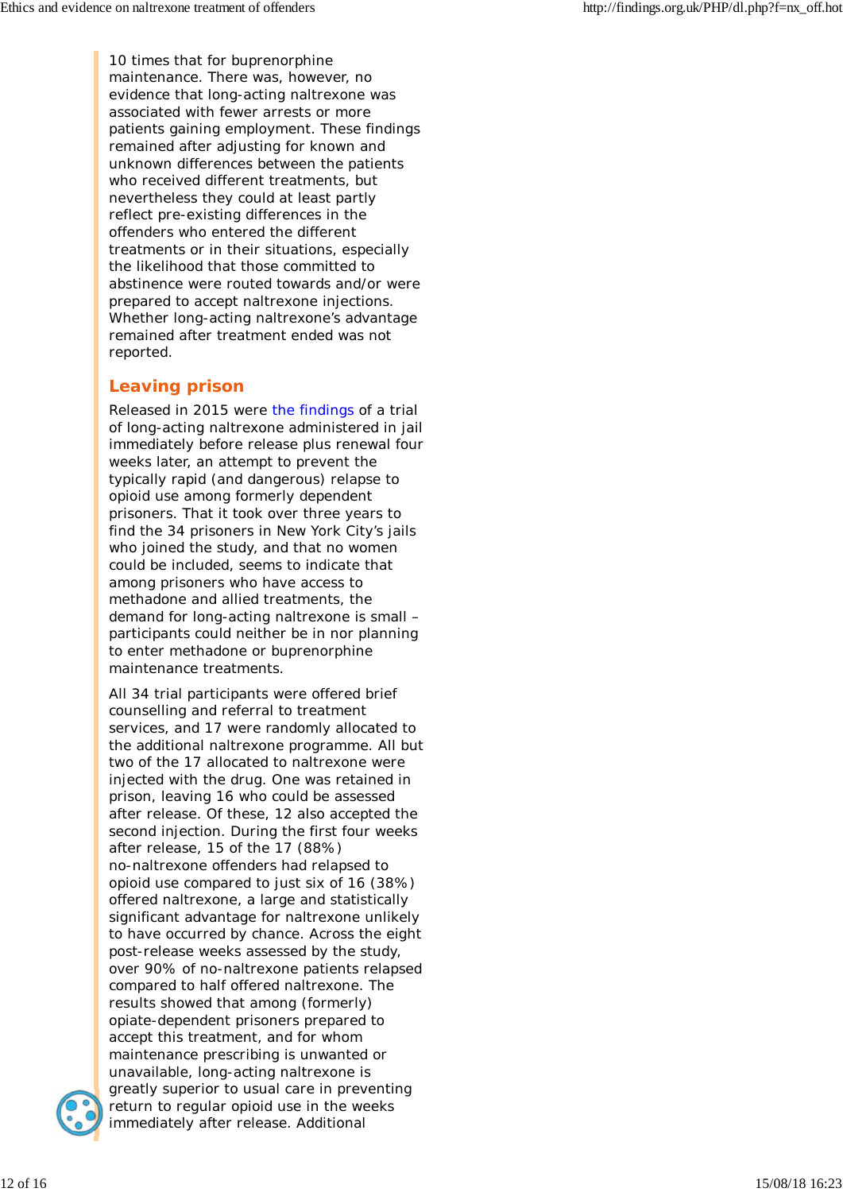10 times that for buprenorphine maintenance. There was, however, no evidence that long-acting naltrexone was associated with fewer arrests or more patients gaining employment. These findings remained after adjusting for known and unknown differences between the patients who received different treatments, but nevertheless they could at least partly reflect pre-existing differences in the offenders who entered the different treatments or in their situations, especially the likelihood that those committed to abstinence were routed towards and/or were prepared to accept naltrexone injections. Whether long-acting naltrexone's advantage remained after treatment ended was not reported.

# **Leaving prison**

Released in 2015 were the findings of a trial of long-acting naltrexone administered in jail immediately before release plus renewal four weeks later, an attempt to prevent the typically rapid (and dangerous) relapse to opioid use among formerly dependent prisoners. That it took over three years to find the 34 prisoners in New York City's jails who joined the study, and that no women could be included, seems to indicate that among prisoners who have access to methadone and allied treatments, the demand for long-acting naltrexone is small – participants could neither be in nor planning to enter methadone or buprenorphine maintenance treatments.

All 34 trial participants were offered brief counselling and referral to treatment services, and 17 were randomly allocated to the additional naltrexone programme. All but two of the 17 allocated to naltrexone were injected with the drug. One was retained in prison, leaving 16 who could be assessed after release. Of these, 12 also accepted the second injection. During the first four weeks after release, 15 of the 17 (88%) no-naltrexone offenders had relapsed to opioid use compared to just six of 16 (38%) offered naltrexone, a large and statistically significant advantage for naltrexone unlikely to have occurred by chance. Across the eight post-release weeks assessed by the study, over 90% of no-naltrexone patients relapsed compared to half offered naltrexone. The results showed that among (formerly) opiate-dependent prisoners prepared to accept this treatment, and for whom maintenance prescribing is unwanted or unavailable, long-acting naltrexone is greatly superior to usual care in preventing return to regular opioid use in the weeks immediately after release. Additional

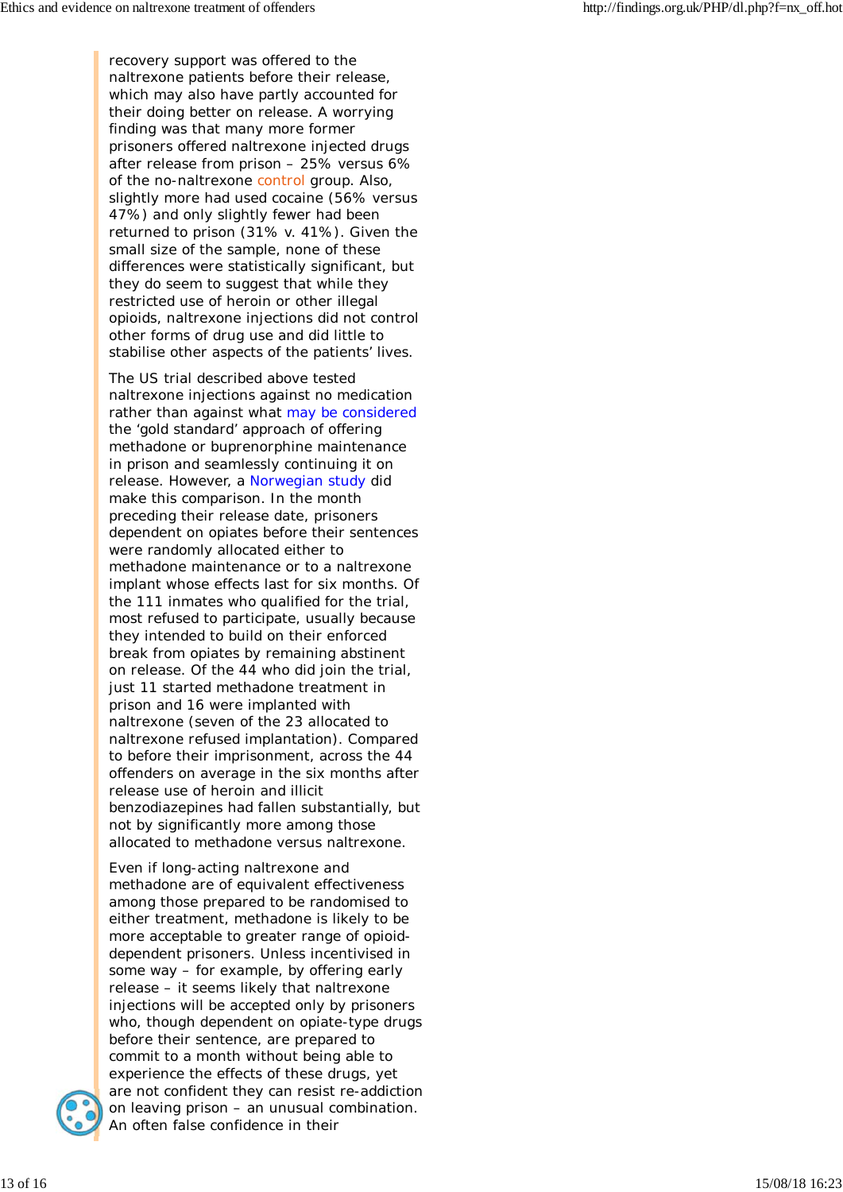recovery support was offered to the naltrexone patients before their release, which may also have partly accounted for their doing better on release. A worrying finding was that many more former prisoners offered naltrexone injected drugs after release from prison – 25% versus 6% of the no-naltrexone control group. Also, slightly more had used cocaine (56% versus 47%) and only slightly fewer had been returned to prison (31% v. 41%). Given the small size of the sample, none of these differences were statistically significant, but they do seem to suggest that while they restricted use of heroin or other illegal opioids, naltrexone injections did not control other forms of drug use and did little to stabilise other aspects of the patients' lives.

The US trial described above tested naltrexone injections against no medication rather than against what may be considered the 'gold standard' approach of offering methadone or buprenorphine maintenance in prison and seamlessly continuing it on release. However, a Norwegian study did make this comparison. In the month preceding their release date, prisoners dependent on opiates before their sentences were randomly allocated either to methadone maintenance or to a naltrexone implant whose effects last for six months. Of the 111 inmates who qualified for the trial, most refused to participate, usually because they intended to build on their enforced break from opiates by remaining abstinent on release. Of the 44 who did join the trial, just 11 started methadone treatment in prison and 16 were implanted with naltrexone (seven of the 23 allocated to naltrexone refused implantation). Compared to before their imprisonment, across the 44 offenders on average in the six months after release use of heroin and illicit benzodiazepines had fallen substantially, but not by significantly more among those allocated to methadone versus naltrexone.

Even if long-acting naltrexone and methadone are of equivalent effectiveness among those prepared to be randomised to either treatment, methadone is likely to be more acceptable to greater range of opioiddependent prisoners. Unless incentivised in some way – for example, by offering early release – it seems likely that naltrexone injections will be accepted only by prisoners who, though dependent on opiate-type drugs before their sentence, are prepared to commit to a month without being able to experience the effects of these drugs, yet are not confident they can resist re-addiction on leaving prison – an unusual combination. An often false confidence in their

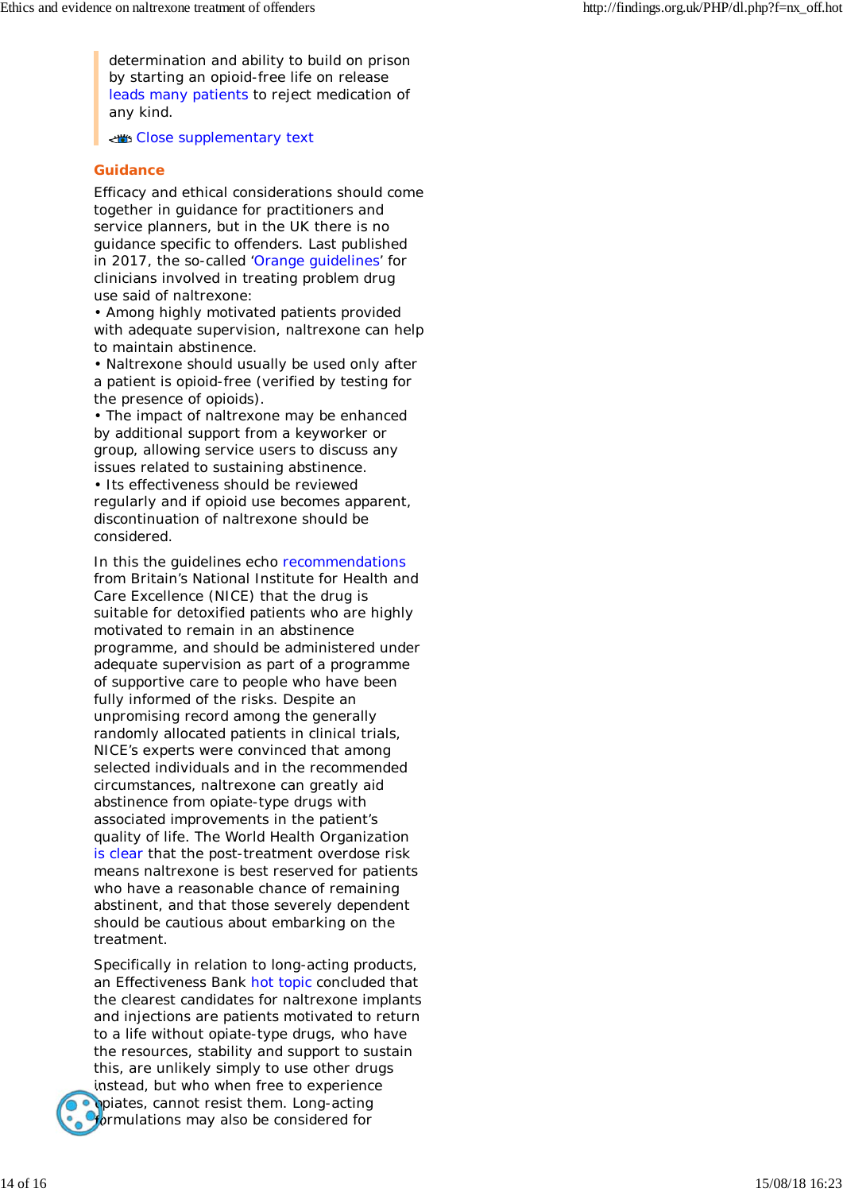determination and ability to build on prison by starting an opioid-free life on release leads many patients to reject medication of any kind.

Close supplementary text

## **Guidance**

Efficacy and ethical considerations should come together in guidance for practitioners and service planners, but in the UK there is no guidance specific to offenders. Last published in 2017, the so-called 'Orange guidelines' for clinicians involved in treating problem drug use said of naltrexone:

• Among highly motivated patients provided with adequate supervision, naltrexone can help to maintain abstinence.

• Naltrexone should usually be used only after a patient is opioid-free (verified by testing for the presence of opioids).

• The impact of naltrexone may be enhanced by additional support from a keyworker or group, allowing service users to discuss any issues related to sustaining abstinence. • Its effectiveness should be reviewed

regularly and if opioid use becomes apparent, discontinuation of naltrexone should be considered.

In this the guidelines echo recommendations from Britain's National Institute for Health and Care Excellence (NICE) that the drug is suitable for detoxified patients who are highly motivated to remain in an abstinence programme, and should be administered under adequate supervision as part of a programme of supportive care to people who have been fully informed of the risks. Despite an unpromising record among the generally randomly allocated patients in clinical trials, NICE's experts were convinced that among selected individuals and in the recommended circumstances, naltrexone can greatly aid abstinence from opiate-type drugs with associated improvements in the patient's quality of life. The World Health Organization is clear that the post-treatment overdose risk means naltrexone is best reserved for patients who have a reasonable chance of remaining abstinent, and that those severely dependent should be cautious about embarking on the treatment.

Specifically in relation to long-acting products, an Effectiveness Bank hot topic concluded that the clearest candidates for naltrexone implants and injections are patients motivated to return to a life without opiate-type drugs, who have the resources, stability and support to sustain this, are unlikely simply to use other drugs instead, but who when free to experience opiates, cannot resist them. Long-acting **formulations may also be considered for**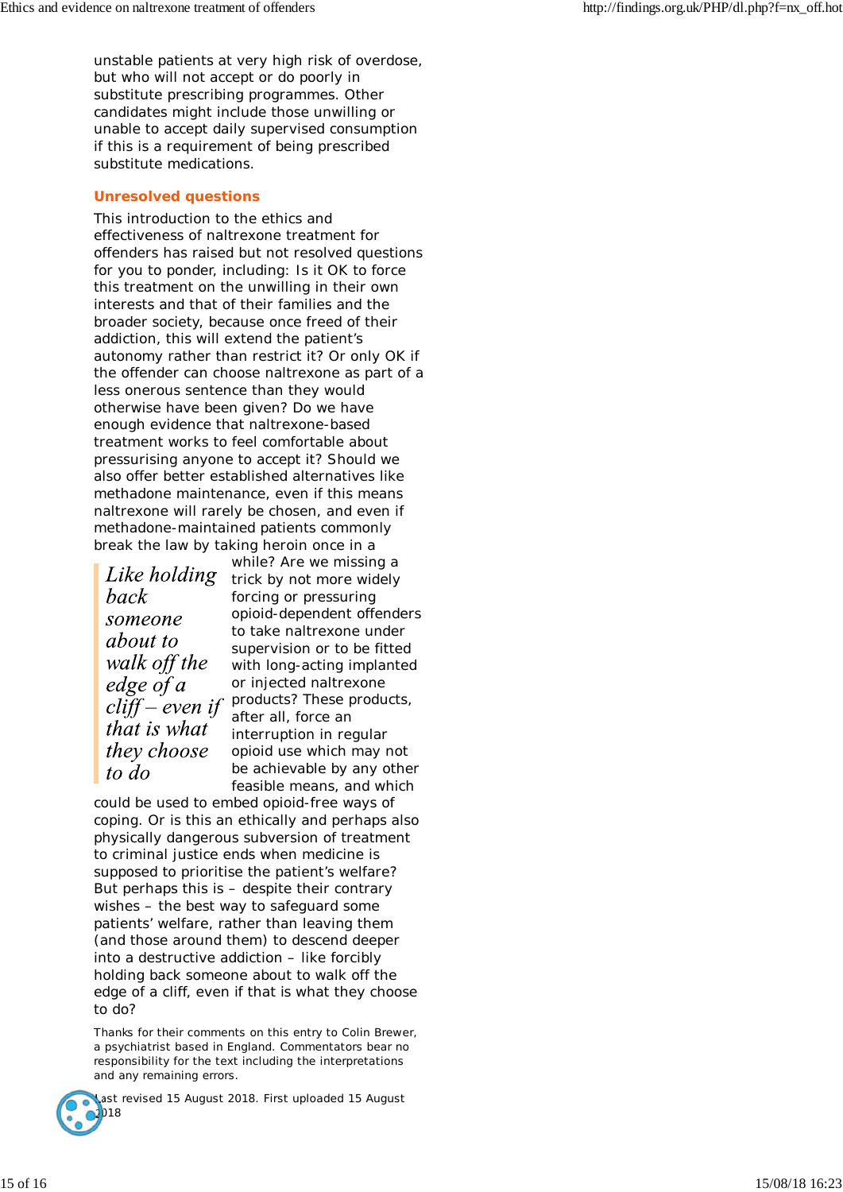unstable patients at very high risk of overdose, but who will not accept or do poorly in substitute prescribing programmes. Other candidates might include those unwilling or unable to accept daily supervised consumption if this is a requirement of being prescribed substitute medications.

### **Unresolved questions**

This introduction to the ethics and effectiveness of naltrexone treatment for offenders has raised but not resolved questions for you to ponder, including: Is it OK to force this treatment on the unwilling in their own interests and that of their families and the broader society, because once freed of their addiction, this will extend the patient's autonomy rather than restrict it? Or only OK if the offender can choose naltrexone as part of a less onerous sentence than they would otherwise have been given? Do we have enough evidence that naltrexone-based treatment works to feel comfortable about pressurising *anyone* to accept it? Should we also offer better established alternatives like methadone maintenance, even if this means naltrexone will rarely be chosen, and even if methadone-maintained patients commonly break the law by taking heroin once in a

back someone *about to* walk off the  $edge of a$  $cliff$ -even if that is what they choose to do

while? Are we missing a Like holding trick by not more widely forcing or pressuring opioid-dependent offenders to take naltrexone under supervision or to be fitted with long-acting implanted or injected naltrexone products? These products, after all, force an interruption in regular opioid use which may not be achievable by any other feasible means, and which

could be used to embed opioid-free ways of coping. Or is this an ethically and perhaps also physically dangerous subversion of treatment to criminal justice ends when medicine is supposed to prioritise the patient's welfare? But perhaps this is – despite their contrary wishes – the best way to safeguard some patients' welfare, rather than leaving them (and those around them) to descend deeper into a destructive addiction – like forcibly holding back someone about to walk off the edge of a cliff, *even if that is what they choose to do*?

*Thanks for their comments on this entry to Colin Brewer, a psychiatrist based in England. Commentators bear no responsibility for the text including the interpretations and any remaining errors.*



ast revised 15 August 2018. First uploaded 15 August